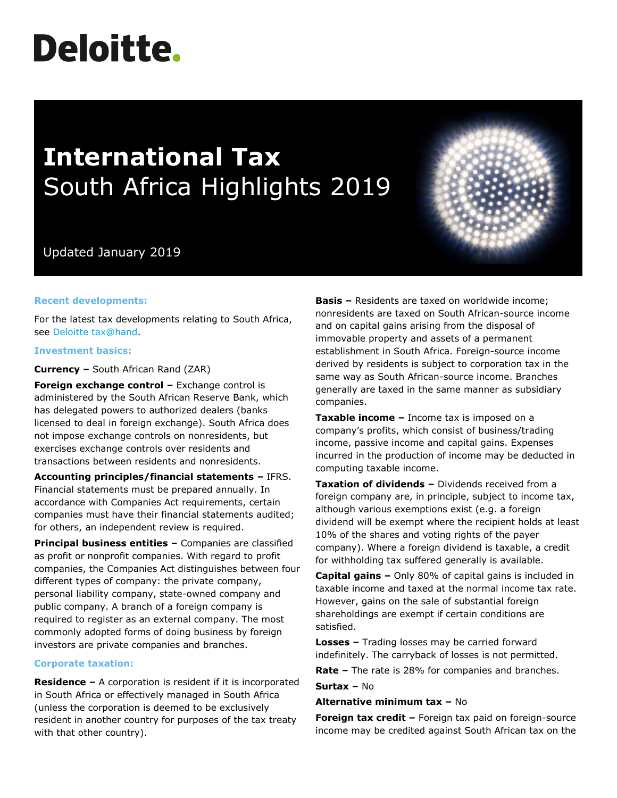# **Deloitte.**

## **International Tax** South Africa Highlights 2019

### Updated January 2019

#### **Recent developments:**

For the latest tax developments relating to South Africa, see [Deloitte tax@hand.](https://www.taxathand.com/world-news/South-Africa)

#### **Investment basics:**

**Currency –** South African Rand (ZAR)

**Foreign exchange control –** Exchange control is administered by the South African Reserve Bank, which has delegated powers to authorized dealers (banks licensed to deal in foreign exchange). South Africa does not impose exchange controls on nonresidents, but exercises exchange controls over residents and transactions between residents and nonresidents.

**Accounting principles/financial statements –** IFRS. Financial statements must be prepared annually. In accordance with Companies Act requirements, certain companies must have their financial statements audited; for others, an independent review is required.

**Principal business entities –** Companies are classified as profit or nonprofit companies. With regard to profit companies, the Companies Act distinguishes between four different types of company: the private company, personal liability company, state-owned company and public company. A branch of a foreign company is required to register as an external company. The most commonly adopted forms of doing business by foreign investors are private companies and branches.

#### **Corporate taxation:**

**Residence –** A corporation is resident if it is incorporated in South Africa or effectively managed in South Africa (unless the corporation is deemed to be exclusively resident in another country for purposes of the tax treaty with that other country).

**Basis –** Residents are taxed on worldwide income; nonresidents are taxed on South African-source income and on capital gains arising from the disposal of immovable property and assets of a permanent establishment in South Africa. Foreign-source income derived by residents is subject to corporation tax in the same way as South African-source income. Branches generally are taxed in the same manner as subsidiary companies.

**Taxable income –** Income tax is imposed on a company's profits, which consist of business/trading income, passive income and capital gains. Expenses incurred in the production of income may be deducted in computing taxable income.

**Taxation of dividends –** Dividends received from a foreign company are, in principle, subject to income tax, although various exemptions exist (e.g. a foreign dividend will be exempt where the recipient holds at least 10% of the shares and voting rights of the payer company). Where a foreign dividend is taxable, a credit for withholding tax suffered generally is available.

**Capital gains –** Only 80% of capital gains is included in taxable income and taxed at the normal income tax rate. However, gains on the sale of substantial foreign shareholdings are exempt if certain conditions are satisfied.

**Losses –** Trading losses may be carried forward indefinitely. The carryback of losses is not permitted.

**Rate –** The rate is 28% for companies and branches.

**Surtax –** No

#### **Alternative minimum tax –** No

**Foreign tax credit –** Foreign tax paid on foreign-source income may be credited against South African tax on the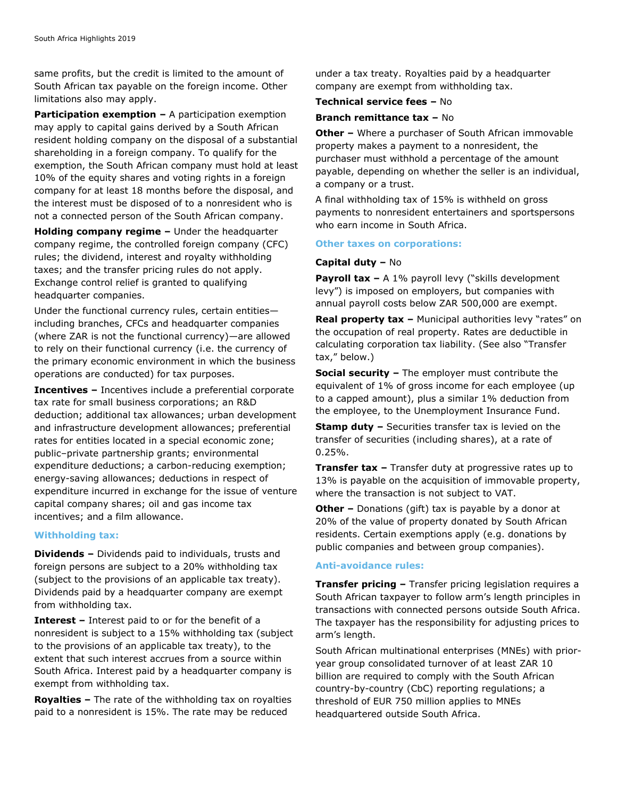same profits, but the credit is limited to the amount of South African tax payable on the foreign income. Other limitations also may apply.

**Participation exemption –** A participation exemption may apply to capital gains derived by a South African resident holding company on the disposal of a substantial shareholding in a foreign company. To qualify for the exemption, the South African company must hold at least 10% of the equity shares and voting rights in a foreign company for at least 18 months before the disposal, and the interest must be disposed of to a nonresident who is not a connected person of the South African company.

**Holding company regime –** Under the headquarter company regime, the controlled foreign company (CFC) rules; the dividend, interest and royalty withholding taxes; and the transfer pricing rules do not apply. Exchange control relief is granted to qualifying headquarter companies.

Under the functional currency rules, certain entities including branches, CFCs and headquarter companies (where ZAR is not the functional currency)—are allowed to rely on their functional currency (i.e. the currency of the primary economic environment in which the business operations are conducted) for tax purposes.

**Incentives –** Incentives include a preferential corporate tax rate for small business corporations; an R&D deduction; additional tax allowances; urban development and infrastructure development allowances; preferential rates for entities located in a special economic zone; public–private partnership grants; environmental expenditure deductions; a carbon-reducing exemption; energy-saving allowances; deductions in respect of expenditure incurred in exchange for the issue of venture capital company shares; oil and gas income tax incentives; and a film allowance.

#### **Withholding tax:**

**Dividends –** Dividends paid to individuals, trusts and foreign persons are subject to a 20% withholding tax (subject to the provisions of an applicable tax treaty). Dividends paid by a headquarter company are exempt from withholding tax.

**Interest –** Interest paid to or for the benefit of a nonresident is subject to a 15% withholding tax (subject to the provisions of an applicable tax treaty), to the extent that such interest accrues from a source within South Africa. Interest paid by a headquarter company is exempt from withholding tax.

**Royalties –** The rate of the withholding tax on royalties paid to a nonresident is 15%. The rate may be reduced

under a tax treaty. Royalties paid by a headquarter company are exempt from withholding tax.

#### **Technical service fees –** No

#### **Branch remittance tax –** No

**Other –** Where a purchaser of South African immovable property makes a payment to a nonresident, the purchaser must withhold a percentage of the amount payable, depending on whether the seller is an individual, a company or a trust.

A final withholding tax of 15% is withheld on gross payments to nonresident entertainers and sportspersons who earn income in South Africa.

#### **Other taxes on corporations:**

#### **Capital duty –** No

**Payroll tax -** A 1% payroll levy ("skills development levy") is imposed on employers, but companies with annual payroll costs below ZAR 500,000 are exempt.

**Real property tax –** Municipal authorities levy "rates" on the occupation of real property. Rates are deductible in calculating corporation tax liability. (See also "Transfer tax," below.)

**Social security –** The employer must contribute the equivalent of 1% of gross income for each employee (up to a capped amount), plus a similar 1% deduction from the employee, to the Unemployment Insurance Fund.

**Stamp duty –** Securities transfer tax is levied on the transfer of securities (including shares), at a rate of 0.25%.

**Transfer tax –** Transfer duty at progressive rates up to 13% is payable on the acquisition of immovable property, where the transaction is not subject to VAT.

**Other –** Donations (gift) tax is payable by a donor at 20% of the value of property donated by South African residents. Certain exemptions apply (e.g. donations by public companies and between group companies).

#### **Anti-avoidance rules:**

**Transfer pricing –** Transfer pricing legislation requires a South African taxpayer to follow arm's length principles in transactions with connected persons outside South Africa. The taxpayer has the responsibility for adjusting prices to arm's length.

South African multinational enterprises (MNEs) with prioryear group consolidated turnover of at least ZAR 10 billion are required to comply with the South African country-by-country (CbC) reporting regulations; a threshold of EUR 750 million applies to MNEs headquartered outside South Africa.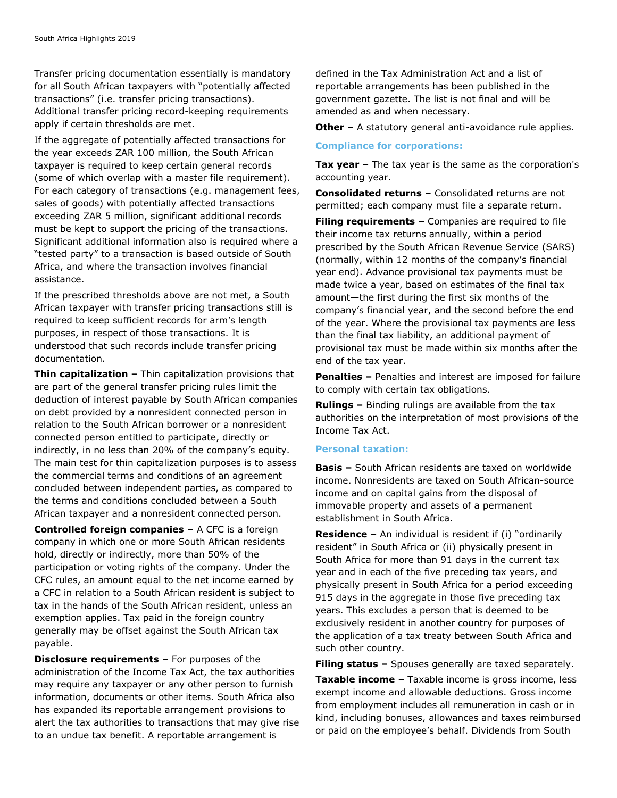Transfer pricing documentation essentially is mandatory for all South African taxpayers with "potentially affected transactions" (i.e. transfer pricing transactions). Additional transfer pricing record-keeping requirements apply if certain thresholds are met.

If the aggregate of potentially affected transactions for the year exceeds ZAR 100 million, the South African taxpayer is required to keep certain general records (some of which overlap with a master file requirement). For each category of transactions (e.g. management fees, sales of goods) with potentially affected transactions exceeding ZAR 5 million, significant additional records must be kept to support the pricing of the transactions. Significant additional information also is required where a "tested party" to a transaction is based outside of South Africa, and where the transaction involves financial assistance.

If the prescribed thresholds above are not met, a South African taxpayer with transfer pricing transactions still is required to keep sufficient records for arm's length purposes, in respect of those transactions. It is understood that such records include transfer pricing documentation.

**Thin capitalization –** Thin capitalization provisions that are part of the general transfer pricing rules limit the deduction of interest payable by South African companies on debt provided by a nonresident connected person in relation to the South African borrower or a nonresident connected person entitled to participate, directly or indirectly, in no less than 20% of the company's equity. The main test for thin capitalization purposes is to assess the commercial terms and conditions of an agreement concluded between independent parties, as compared to the terms and conditions concluded between a South African taxpayer and a nonresident connected person.

**Controlled foreign companies –** A CFC is a foreign company in which one or more South African residents hold, directly or indirectly, more than 50% of the participation or voting rights of the company. Under the CFC rules, an amount equal to the net income earned by a CFC in relation to a South African resident is subject to tax in the hands of the South African resident, unless an exemption applies. Tax paid in the foreign country generally may be offset against the South African tax payable.

**Disclosure requirements –** For purposes of the administration of the Income Tax Act, the tax authorities may require any taxpayer or any other person to furnish information, documents or other items. South Africa also has expanded its reportable arrangement provisions to alert the tax authorities to transactions that may give rise to an undue tax benefit. A reportable arrangement is

defined in the Tax Administration Act and a list of reportable arrangements has been published in the government gazette. The list is not final and will be amended as and when necessary.

**Other** – A statutory general anti-avoidance rule applies.

#### **Compliance for corporations:**

**Tax year –** The tax year is the same as the corporation's accounting year.

**Consolidated returns –** Consolidated returns are not permitted; each company must file a separate return.

**Filing requirements –** Companies are required to file their income tax returns annually, within a period prescribed by the South African Revenue Service (SARS) (normally, within 12 months of the company's financial year end). Advance provisional tax payments must be made twice a year, based on estimates of the final tax amount—the first during the first six months of the company's financial year, and the second before the end of the year. Where the provisional tax payments are less than the final tax liability, an additional payment of provisional tax must be made within six months after the end of the tax year.

**Penalties –** Penalties and interest are imposed for failure to comply with certain tax obligations.

**Rulings –** Binding rulings are available from the tax authorities on the interpretation of most provisions of the Income Tax Act.

#### **Personal taxation:**

**Basis –** South African residents are taxed on worldwide income. Nonresidents are taxed on South African-source income and on capital gains from the disposal of immovable property and assets of a permanent establishment in South Africa.

**Residence –** An individual is resident if (i) "ordinarily resident" in South Africa or (ii) physically present in South Africa for more than 91 days in the current tax year and in each of the five preceding tax years, and physically present in South Africa for a period exceeding 915 days in the aggregate in those five preceding tax years. This excludes a person that is deemed to be exclusively resident in another country for purposes of the application of a tax treaty between South Africa and such other country.

**Filing status –** Spouses generally are taxed separately.

**Taxable income –** Taxable income is gross income, less exempt income and allowable deductions. Gross income from employment includes all remuneration in cash or in kind, including bonuses, allowances and taxes reimbursed or paid on the employee's behalf. Dividends from South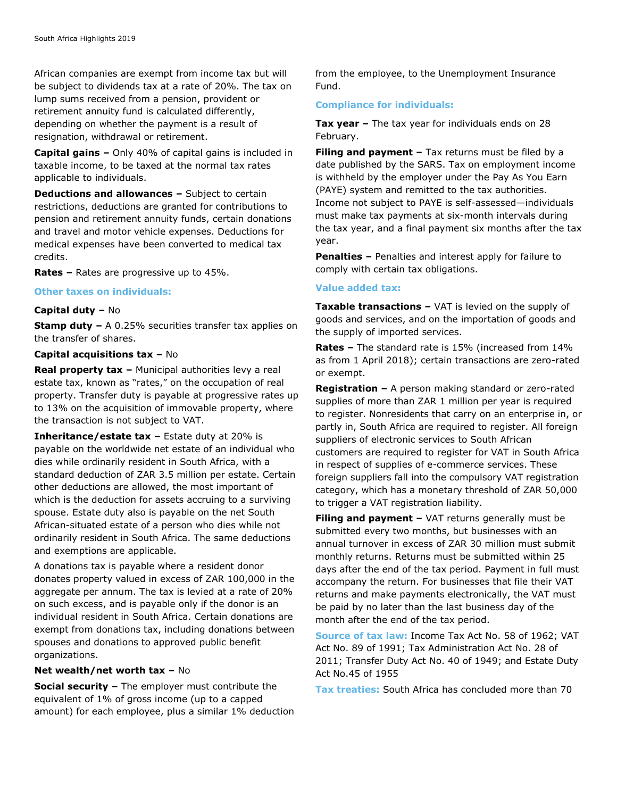African companies are exempt from income tax but will be subject to dividends tax at a rate of 20%. The tax on lump sums received from a pension, provident or retirement annuity fund is calculated differently, depending on whether the payment is a result of resignation, withdrawal or retirement.

**Capital gains –** Only 40% of capital gains is included in taxable income, to be taxed at the normal tax rates applicable to individuals.

**Deductions and allowances –** Subject to certain restrictions, deductions are granted for contributions to pension and retirement annuity funds, certain donations and travel and motor vehicle expenses. Deductions for medical expenses have been converted to medical tax credits.

**Rates –** Rates are progressive up to 45%.

#### **Other taxes on individuals:**

#### **Capital duty –** No

**Stamp duty –** A 0.25% securities transfer tax applies on the transfer of shares.

#### **Capital acquisitions tax –** No

**Real property tax –** Municipal authorities levy a real estate tax, known as "rates," on the occupation of real property. Transfer duty is payable at progressive rates up to 13% on the acquisition of immovable property, where the transaction is not subject to VAT.

**Inheritance/estate tax –** Estate duty at 20% is payable on the worldwide net estate of an individual who dies while ordinarily resident in South Africa, with a standard deduction of ZAR 3.5 million per estate. Certain other deductions are allowed, the most important of which is the deduction for assets accruing to a surviving spouse. Estate duty also is payable on the net South African-situated estate of a person who dies while not ordinarily resident in South Africa. The same deductions and exemptions are applicable.

A donations tax is payable where a resident donor donates property valued in excess of ZAR 100,000 in the aggregate per annum. The tax is levied at a rate of 20% on such excess, and is payable only if the donor is an individual resident in South Africa. Certain donations are exempt from donations tax, including donations between spouses and donations to approved public benefit organizations.

#### **Net wealth/net worth tax –** No

**Social security –** The employer must contribute the equivalent of 1% of gross income (up to a capped amount) for each employee, plus a similar 1% deduction from the employee, to the Unemployment Insurance Fund.

#### **Compliance for individuals:**

**Tax year –** The tax year for individuals ends on 28 February.

**Filing and payment –** Tax returns must be filed by a date published by the SARS. Tax on employment income is withheld by the employer under the Pay As You Earn (PAYE) system and remitted to the tax authorities. Income not subject to PAYE is self-assessed—individuals must make tax payments at six-month intervals during the tax year, and a final payment six months after the tax year.

**Penalties –** Penalties and interest apply for failure to comply with certain tax obligations.

#### **Value added tax:**

**Taxable transactions –** VAT is levied on the supply of goods and services, and on the importation of goods and the supply of imported services.

**Rates –** The standard rate is 15% (increased from 14% as from 1 April 2018); certain transactions are zero-rated or exempt.

**Registration –** A person making standard or zero-rated supplies of more than ZAR 1 million per year is required to register. Nonresidents that carry on an enterprise in, or partly in, South Africa are required to register. All foreign suppliers of electronic services to South African customers are required to register for VAT in South Africa in respect of supplies of e-commerce services. These foreign suppliers fall into the compulsory VAT registration category, which has a monetary threshold of ZAR 50,000 to trigger a VAT registration liability.

**Filing and payment –** VAT returns generally must be submitted every two months, but businesses with an annual turnover in excess of ZAR 30 million must submit monthly returns. Returns must be submitted within 25 days after the end of the tax period. Payment in full must accompany the return. For businesses that file their VAT returns and make payments electronically, the VAT must be paid by no later than the last business day of the month after the end of the tax period.

**Source of tax law:** Income Tax Act No. 58 of 1962; VAT Act No. 89 of 1991; Tax Administration Act No. 28 of 2011; Transfer Duty Act No. 40 of 1949; and Estate Duty Act No.45 of 1955

**Tax treaties:** South Africa has concluded more than 70